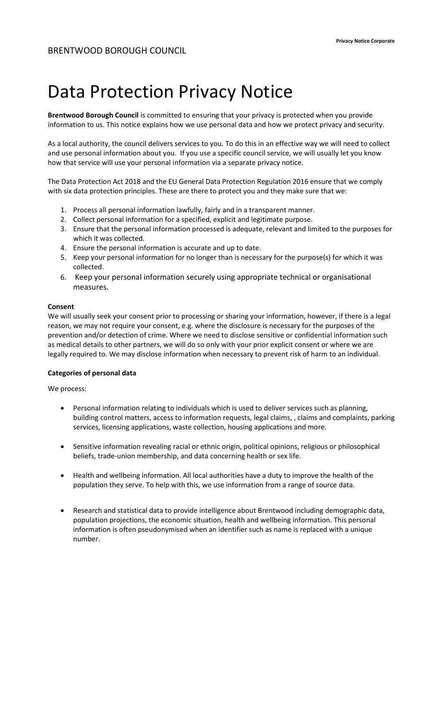# Data Protection Privacy Notice

Brentwood Borough Council is committed to ensuring that your privacy is protected when you provide information to us. This notice explains how we use personal data and how we protect privacy and security.

As a local authority, the council delivers services to you. To do this in an effective way we will need to collect and use personal information about you. If you use a specific council service, we will usually let you know how that service will use your personal information via a separate privacy notice.

The Data Protection Act 2018 and the EU General Data Protection Regulation 2016 ensure that we comply with six data protection principles. These are there to protect you and they make sure that we:

- 1. Process all personal information lawfully, fairly and in a transparent manner.
- 2. Collect personal information for a specified, explicit and legitimate purpose.
- 3. Ensure that the personal information processed is adequate, relevant and limited to the purposes for which it was collected.
- 4. Ensure the personal information is accurate and up to date.
- 5. Keep your personal information for no longer than is necessary for the purpose(s) for which it was collected.
- 6. Keep your personal information securely using appropriate technical or organisational measures.

### Consent

We will usually seek your consent prior to processing or sharing your information, however, if there is a legal reason, we may not require your consent, e.g. where the disclosure is necessary for the purposes of the prevention and/or detection of crime. Where we need to disclose sensitive or confidential information such as medical details to other partners, we will do so only with your prior explicit consent or where we are legally required to. We may disclose information when necessary to prevent risk of harm to an individual.

# Categories of personal data

We process:

- Personal information relating to individuals which is used to deliver services such as planning, building control matters, access to information requests, legal claims, , claims and complaints, parking services, licensing applications, waste collection, housing applications and more.
- Sensitive information revealing racial or ethnic origin, political opinions, religious or philosophical beliefs, trade-union membership, and data concerning health or sex life.
- Health and wellbeing information. All local authorities have a duty to improve the health of the population they serve. To help with this, we use information from a range of source data.
- Research and statistical data to provide intelligence about Brentwood including demographic data, population projections, the economic situation, health and wellbeing information. This personal information is often pseudonymised when an identifier such as name is replaced with a unique number.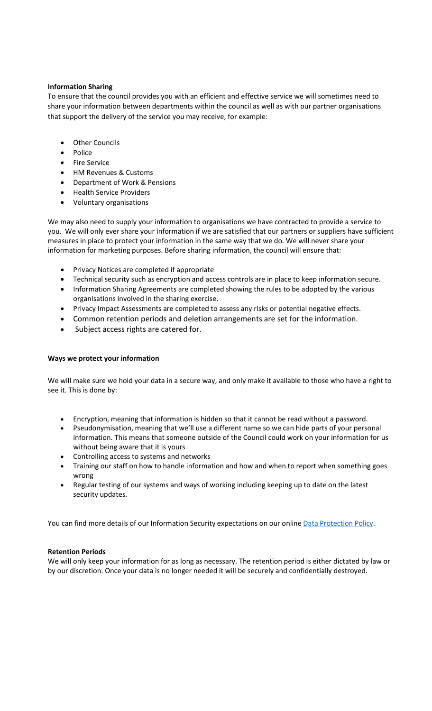## Information Sharing

To ensure that the council provides you with an efficient and effective service we will sometimes need to share your information between departments within the council as well as with our partner organisations that support the delivery of the service you may receive, for example:

- Other Councils
- Police
- Fire Service
- HM Revenues & Customs
- Department of Work & Pensions
- Health Service Providers
- Voluntary organisations

We may also need to supply your information to organisations we have contracted to provide a service to you. We will only ever share your information if we are satisfied that our partners or suppliers have sufficient measures in place to protect your information in the same way that we do. We will never share your information for marketing purposes. Before sharing information, the council will ensure that:

- Privacy Notices are completed if appropriate
- Technical security such as encryption and access controls are in place to keep information secure.
- Information Sharing Agreements are completed showing the rules to be adopted by the various organisations involved in the sharing exercise.
- Privacy Impact Assessments are completed to assess any risks or potential negative effects.
- Common retention periods and deletion arrangements are set for the information.
- Subject access rights are catered for.

# Ways we protect your information

We will make sure we hold your data in a secure way, and only make it available to those who have a right to see it. This is done by:

- Encryption, meaning that information is hidden so that it cannot be read without a password.
- Pseudonymisation, meaning that we'll use a different name so we can hide parts of your personal information. This means that someone outside of the Council could work on your information for us without being aware that it is yours
- Controlling access to systems and networks
- Training our staff on how to handle information and how and when to report when something goes wrong
- Regular testing of our systems and ways of working including keeping up to date on the latest security updates.

You can find more details of our Information Security expectations on our online [Data Protection Policy.](http://www.brentwood.gov.uk/pdf/25072017125854u.pdf) 

### Retention Periods

We will only keep your information for as long as necessary. The retention period is either dictated by law or by our discretion. Once your data is no longer needed it will be securely and confidentially destroyed.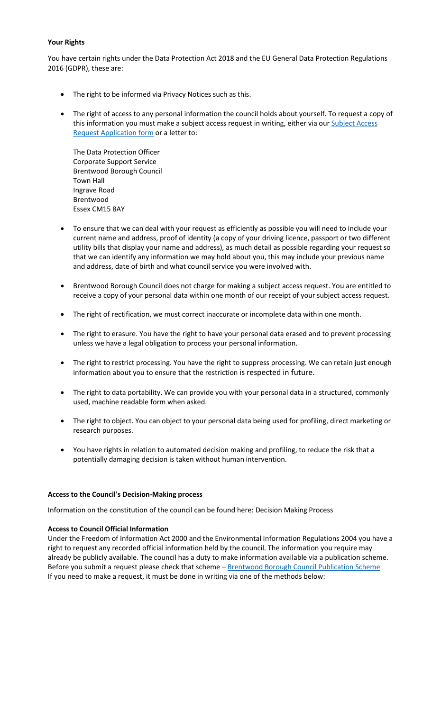## Your Rights

You have certain rights under the Data Protection Act 2018 and the EU General Data Protection Regulations 2016 (GDPR), these are:

- The right to be informed via Privacy Notices such as this.
- The right of access to any personal information the council holds about yourself. To request a copy of [this information you must make a subject access request in writing, either via our Subject Access](https://brentwood-self.achieveservice.com/en/AchieveForms/?form_uri=sandbox-publish://AF-Process-5c2cdbbb-add6-43e3-9252-bcde1d8bd739/AF-Stage-3ec23989-277e-4a2d-a984-bd5cac56981b/definition.json&redirectlink=%2Fen&cancelRedirectLink=%2Fen&consentMessage=yes)  Request Application form or a letter to:

The Data Protection Officer Corporate Support Service Brentwood Borough Council Town Hall Ingrave Road Brentwood Essex CM15 8AY

- To ensure that we can deal with your request as efficiently as possible you will need to include your current name and address, proof of identity (a copy of your driving licence, passport or two different utility bills that display your name and address), as much detail as possible regarding your request so that we can identify any information we may hold about you, this may include your previous name and address, date of birth and what council service you were involved with.
- Brentwood Borough Council does not charge for making a subject access request. You are entitled to receive a copy of your personal data within one month of our receipt of your subject access request.
- The right of rectification, we must correct inaccurate or incomplete data within one month.
- The right to erasure. You have the right to have your personal data erased and to prevent processing unless we have a legal obligation to process your personal information.
- The right to restrict processing. You have the right to suppress processing. We can retain just enough information about you to ensure that the restriction is respected in future.
- The right to data portability. We can provide you with your personal data in a structured, commonly used, machine readable form when asked.
- The right to object. You can object to your personal data being used for profiling, direct marketing or research purposes.
- You have rights in relation to automated decision making and profiling, to reduce the risk that a potentially damaging decision is taken without human intervention.

# Access to the Council's Decision-Making process

Information on the constitution of the council can be found here: Decision Making Process

### Access to Council Official Information

Under the Freedom of Information Act 2000 and the Environmental Information Regulations 2004 you have a right to request any recorded official information held by the council. The information you require may already be publicly available. The council has a duty to make information available via a publication scheme. Before you submit a request please check that scheme - [Brentwood Borough Council Publication Scheme](http://www.brentwood.gov.uk/index.php?cid=2207) If you need to make a request, it must be done in writing via one of the methods below: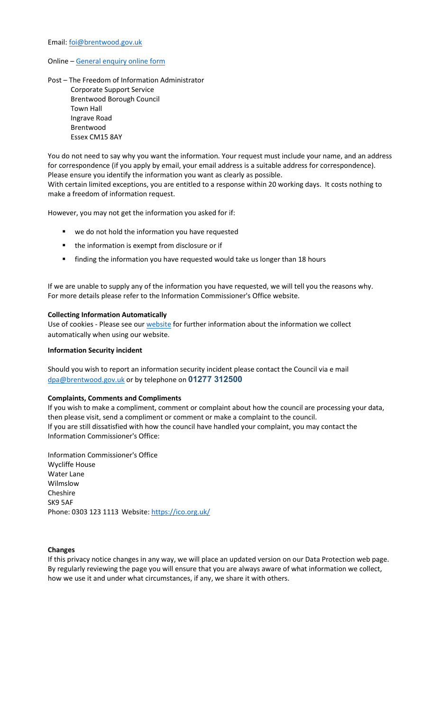#### Email: foi@brentwood.gov.uk

#### Online – [General enquiry online form](https://brentwood-self.achieveservice.com/en/AchieveForms/?form_uri=sandbox-publish://AF-Process-d31a53c2-c2d4-4925-a070-4a5e4d755536/AF-Stageffb1826f-9a2e-419d-bb71-f338c3d6334c/definition.json&redirectlink=%2Fen&cancelRedirectLink=%2Fen&consentMessage=yes)

Post – The Freedom of Information Administrator Corporate Support Service Brentwood Borough Council Town Hall Ingrave Road Brentwood Essex CM15 8AY

You do not need to say why you want the information. Your request must include your name, and an address for correspondence (if you apply by email, your email address is a suitable address for correspondence). Please ensure you identify the information you want as clearly as possible. With certain limited exceptions, you are entitled to a response within 20 working days. It costs nothing to

make a freedom of information request.

However, you may not get the information you asked for if:

- we do not hold the information you have requested
- **the information is exempt from disclosure or if**
- finding the information you have requested would take us longer than 18 hours

If we are unable to supply any of the information you have requested, we will tell you the reasons why. For more details please refer to the Information Commissioner's Office website.

#### Collecting Information Automatically

Use of cookies - Please see ou[r website](http://www.brentwood.gov.uk/index.php?cid=821) for further information about the information we collect automatically when using our website.

#### Information Security incident

Should you wish to report an information security incident please contact the Council via e mail dpa@brentwood.gov.uk or by telephone on 01277 312500

#### Complaints, Comments and Compliments

If you wish to make a compliment, comment or complaint about how the council are processing your data, then please visit, send a compliment or comment or make a complaint to the council. If you are still dissatisfied with how the council have handled your complaint, you may contact the Information Commissioner's Office:

Information Commissioner's Office Wycliffe House Water Lane Wilmslow Cheshire SK9 5AF Phone: 0303 123 1113 Websit[e: https://ico.org.uk/](https://ico.org.uk/)

#### Changes

If this privacy notice changes in any way, we will place an updated version on our Data Protection web page. By regularly reviewing the page you will ensure that you are always aware of what information we collect, how we use it and under what circumstances, if any, we share it with others.